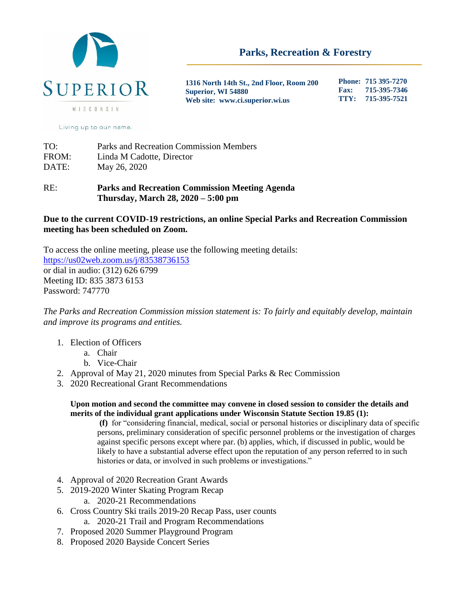

**1316 North 14th St., 2nd Floor, Room 200 Superior, WI 54880 Web site: www.ci.superior.wi.us**

**Phone: 715 395-7270 Fax: 715-395-7346 TTY: 715-395-7521**

#### Living up to our name.

TO: Parks and Recreation Commission Members FROM: Linda M Cadotte, Director DATE: May 26, 2020

RE: **Parks and Recreation Commission Meeting Agenda Thursday, March 28, 2020 – 5:00 pm**

# **Due to the current COVID-19 restrictions, an online Special Parks and Recreation Commission meeting has been scheduled on Zoom.**

To access the online meeting, please use the following meeting details: <https://us02web.zoom.us/j/83538736153> or dial in audio: (312) 626 6799 Meeting ID: 835 3873 6153 Password: 747770

*The Parks and Recreation Commission mission statement is: To fairly and equitably develop, maintain and improve its programs and entities.* 

- 1. Election of Officers
	- a. Chair
	- b. Vice-Chair
- 2. Approval of May 21, 2020 minutes from Special Parks & Rec Commission
- 3. 2020 Recreational Grant Recommendations

### **Upon motion and second the committee may convene in closed session to consider the details and merits of the individual grant applications under Wisconsin Statute Section 19.85 (1):**

**(f)** for "considering financial, medical, social or personal histories or disciplinary data of specific persons, preliminary consideration of specific personnel problems or the investigation of charges against specific persons except where par. (b) applies, which, if discussed in public, would be likely to have a substantial adverse effect upon the reputation of any person referred to in such histories or data, or involved in such problems or investigations."

- 4. Approval of 2020 Recreation Grant Awards
- 5. 2019-2020 Winter Skating Program Recap
	- a. 2020-21 Recommendations
- 6. Cross Country Ski trails 2019-20 Recap Pass, user counts
	- a. 2020-21 Trail and Program Recommendations
- 7. Proposed 2020 Summer Playground Program
- 8. Proposed 2020 Bayside Concert Series